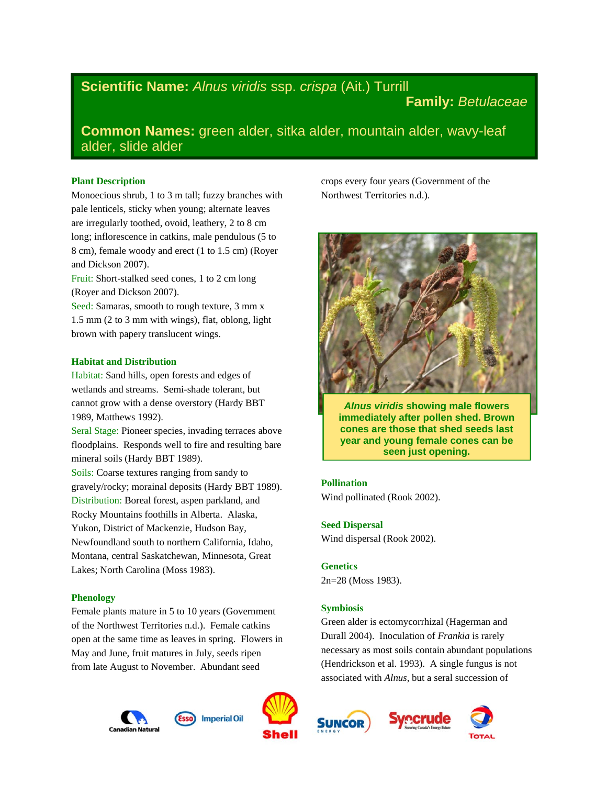# **Scientific Name:** *Alnus viridis* ssp. *crispa* (Ait.) Turrill

## **Family:** *Betulaceae*

**Common Names:** green alder, sitka alder, mountain alder, wavy-leaf alder, slide alder

## **Plant Description**

Monoecious shrub, 1 to 3 m tall; fuzzy branches with pale lenticels, sticky when young; alternate leaves are irregularly toothed, ovoid, leathery, 2 to 8 cm long; inflorescence in catkins, male pendulous (5 to 8 cm), female woody and erect (1 to 1.5 cm) (Royer and Dickson 2007).

Fruit: Short-stalked seed cones, 1 to 2 cm long (Royer and Dickson 2007).

Seed: Samaras, smooth to rough texture, 3 mm x 1.5 mm (2 to 3 mm with wings), flat, oblong, light brown with papery translucent wings.

### **Habitat and Distribution**

Habitat: Sand hills, open forests and edges of wetlands and streams. Semi-shade tolerant, but cannot grow with a dense overstory (Hardy BBT 1989, Matthews 1992).

Seral Stage: Pioneer species, invading terraces above floodplains. Responds well to fire and resulting bare mineral soils (Hardy BBT 1989).

Soils: Coarse textures ranging from sandy to gravely/rocky; morainal deposits (Hardy BBT 1989). Distribution: Boreal forest, aspen parkland, and Rocky Mountains foothills in Alberta. Alaska, Yukon, District of Mackenzie, Hudson Bay, Newfoundland south to northern California, Idaho, Montana, central Saskatchewan, Minnesota, Great Lakes; North Carolina (Moss 1983).

## **Phenology**

Female plants mature in 5 to 10 years (Government of the Northwest Territories n.d.). Female catkins open at the same time as leaves in spring. Flowers in May and June, fruit matures in July, seeds ripen from late August to November. Abundant seed







crops every four years (Government of the Northwest Territories n.d.).



*Alnus viridis* **showing male flowers immediately after pollen shed. Brown cones are those that shed seeds last year and young female cones can be seen just opening.** 

#### **Pollination**

Wind pollinated (Rook 2002).

## **Seed Dispersal**

Wind dispersal (Rook 2002).

## **Genetics**

2n=28 (Moss 1983).

#### **Symbiosis**

Green alder is ectomycorrhizal (Hagerman and Durall 2004). Inoculation of *Frankia* is rarely necessary as most soils contain abundant populations (Hendrickson et al. 1993). A single fungus is not associated with *Alnus*, but a seral succession of





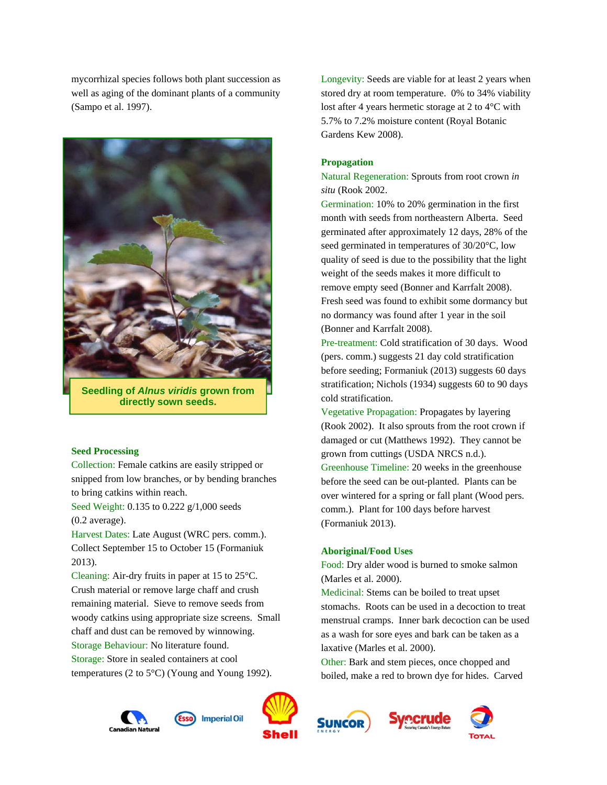mycorrhizal species follows both plant succession as well as aging of the dominant plants of a community (Sampo et al. 1997).



**Seedling of** *Alnus viridis* **grown from directly sown seeds.** 

#### **Seed Processing**

Collection: Female catkins are easily stripped or snipped from low branches, or by bending branches to bring catkins within reach.

Seed Weight: 0.135 to 0.222 g/1,000 seeds (0.2 average).

Harvest Dates: Late August (WRC pers. comm.). Collect September 15 to October 15 (Formaniuk 2013).

Cleaning: Air-dry fruits in paper at 15 to 25°C. Crush material or remove large chaff and crush remaining material. Sieve to remove seeds from woody catkins using appropriate size screens. Small chaff and dust can be removed by winnowing. Storage Behaviour: No literature found.

Storage: Store in sealed containers at cool temperatures (2 to 5°C) (Young and Young 1992).





Longevity: Seeds are viable for at least 2 years when stored dry at room temperature. 0% to 34% viability lost after 4 years hermetic storage at 2 to 4°C with 5.7% to 7.2% moisture content (Royal Botanic Gardens Kew 2008).

## **Propagation**

Natural Regeneration: Sprouts from root crown *in situ* (Rook 2002.

Germination: 10% to 20% germination in the first month with seeds from northeastern Alberta. Seed germinated after approximately 12 days, 28% of the seed germinated in temperatures of 30/20°C, low quality of seed is due to the possibility that the light weight of the seeds makes it more difficult to remove empty seed (Bonner and Karrfalt 2008). Fresh seed was found to exhibit some dormancy but no dormancy was found after 1 year in the soil (Bonner and Karrfalt 2008).

Pre-treatment: Cold stratification of 30 days. Wood (pers. comm.) suggests 21 day cold stratification before seeding; Formaniuk (2013) suggests 60 days stratification; Nichols (1934) suggests 60 to 90 days cold stratification.

Vegetative Propagation: Propagates by layering (Rook 2002). It also sprouts from the root crown if damaged or cut (Matthews 1992). They cannot be grown from cuttings (USDA NRCS n.d.).

Greenhouse Timeline: 20 weeks in the greenhouse before the seed can be out-planted. Plants can be over wintered for a spring or fall plant (Wood pers. comm.). Plant for 100 days before harvest (Formaniuk 2013).

#### **Aboriginal/Food Uses**

Food: Dry alder wood is burned to smoke salmon (Marles et al. 2000).

Medicinal: Stems can be boiled to treat upset stomachs. Roots can be used in a decoction to treat menstrual cramps. Inner bark decoction can be used as a wash for sore eyes and bark can be taken as a laxative (Marles et al. 2000).

Other: Bark and stem pieces, once chopped and boiled, make a red to brown dye for hides. Carved





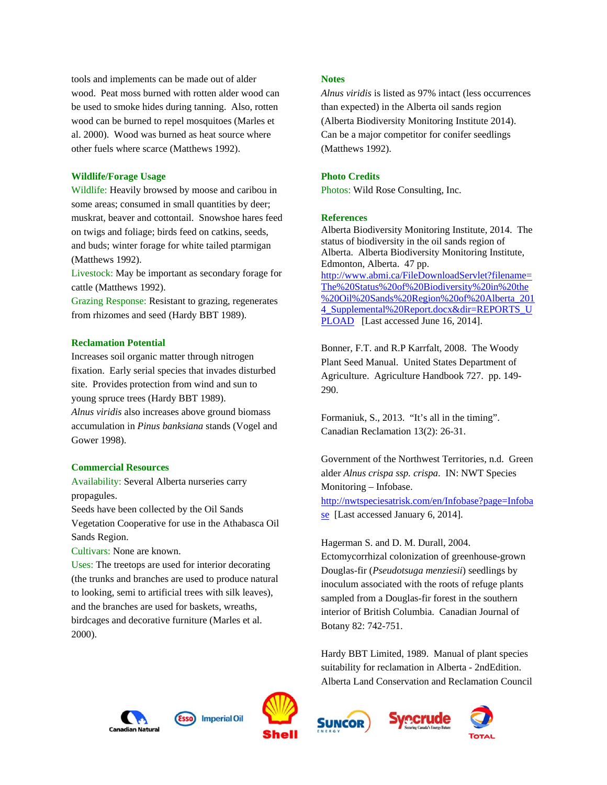tools and implements can be made out of alder wood. Peat moss burned with rotten alder wood can be used to smoke hides during tanning. Also, rotten wood can be burned to repel mosquitoes (Marles et al. 2000). Wood was burned as heat source where other fuels where scarce (Matthews 1992).

#### **Wildlife/Forage Usage**

Wildlife: Heavily browsed by moose and caribou in some areas; consumed in small quantities by deer; muskrat, beaver and cottontail. Snowshoe hares feed on twigs and foliage; birds feed on catkins, seeds, and buds; winter forage for white tailed ptarmigan (Matthews 1992).

Livestock: May be important as secondary forage for cattle (Matthews 1992).

Grazing Response: Resistant to grazing, regenerates from rhizomes and seed (Hardy BBT 1989).

## **Reclamation Potential**

Increases soil organic matter through nitrogen fixation. Early serial species that invades disturbed site. Provides protection from wind and sun to young spruce trees (Hardy BBT 1989).

*Alnus viridis* also increases above ground biomass accumulation in *Pinus banksiana* stands (Vogel and Gower 1998).

#### **Commercial Resources**

Availability: Several Alberta nurseries carry propagules.

Seeds have been collected by the Oil Sands Vegetation Cooperative for use in the Athabasca Oil Sands Region.

Cultivars: None are known.

Uses: The treetops are used for interior decorating (the trunks and branches are used to produce natural to looking, semi to artificial trees with silk leaves), and the branches are used for baskets, wreaths, birdcages and decorative furniture (Marles et al. 2000).

#### **Notes**

*Alnus viridis* is listed as 97% intact (less occurrences than expected) in the Alberta oil sands region (Alberta Biodiversity Monitoring Institute 2014). Can be a major competitor for conifer seedlings (Matthews 1992).

#### **Photo Credits**

Photos: Wild Rose Consulting, Inc.

### **References**

Alberta Biodiversity Monitoring Institute, 2014. The status of biodiversity in the oil sands region of Alberta. Alberta Biodiversity Monitoring Institute, Edmonton, Alberta. 47 pp. http://www.abmi.ca/FileDownloadServlet?filename= The%20Status%20of%20Biodiversity%20in%20the %20Oil%20Sands%20Region%20of%20Alberta\_201 4 Supplemental%20Report.docx&dir=REPORTS\_U PLOAD[Last accessed June 16, 2014].

Bonner, F.T. and R.P Karrfalt, 2008. The Woody Plant Seed Manual. United States Department of Agriculture. Agriculture Handbook 727. pp. 149- 290.

Formaniuk, S., 2013. "It's all in the timing". Canadian Reclamation 13(2): 26-31.

Government of the Northwest Territories, n.d. Green alder *Alnus crispa ssp. crispa*. IN: NWT Species Monitoring – Infobase. http://nwtspeciesatrisk.com/en/Infobase?page=Infoba se [Last accessed January 6, 2014].

Hagerman S. and D. M. Durall, 2004.

Ectomycorrhizal colonization of greenhouse-grown Douglas-fir (*Pseudotsuga menziesii*) seedlings by inoculum associated with the roots of refuge plants sampled from a Douglas-fir forest in the southern interior of British Columbia. Canadian Journal of Botany 82: 742-751.

Hardy BBT Limited, 1989. Manual of plant species suitability for reclamation in Alberta - 2ndEdition. Alberta Land Conservation and Reclamation Council